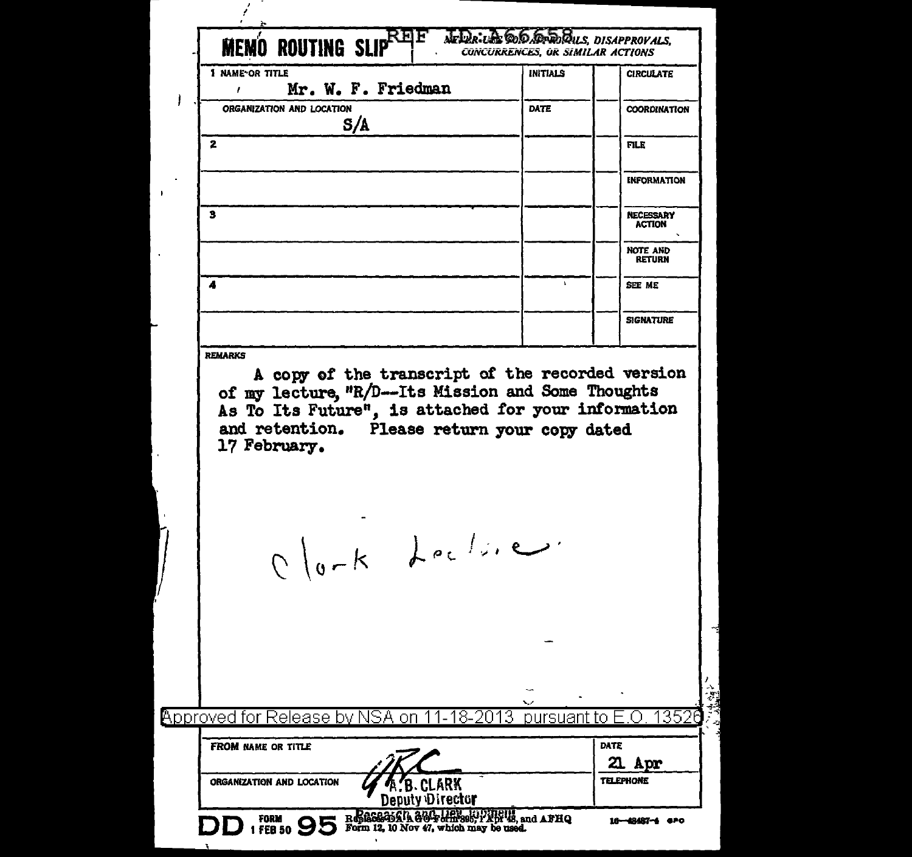| <b>MEMO ROUTING SLIP</b><br>1 NAME OR TITLE<br>ł | Mr. W. F. Friedman                                                                                                                                                                                            | <b>INITIALS</b> | <b>CONCURRENCES, OR SIMILAR ACTIONS</b><br><b>CIRCULATE</b> |
|--------------------------------------------------|---------------------------------------------------------------------------------------------------------------------------------------------------------------------------------------------------------------|-----------------|-------------------------------------------------------------|
| ORGANIZATION AND LOCATION                        | S/A                                                                                                                                                                                                           | DATE            | <b>COORDINATION</b>                                         |
| $\mathbf{z}$                                     |                                                                                                                                                                                                               |                 | <b>FILE</b>                                                 |
|                                                  |                                                                                                                                                                                                               |                 | <b>INFORMATION</b>                                          |
| 3                                                |                                                                                                                                                                                                               |                 | <b>NECESSARY</b><br><b>ACTION</b>                           |
|                                                  |                                                                                                                                                                                                               |                 | <b>NOTE AND</b><br><b>RETURN</b>                            |
| 4                                                |                                                                                                                                                                                                               | $\mathbf{r}$    | SEE ME                                                      |
|                                                  |                                                                                                                                                                                                               |                 | <b>SIGNATURE</b>                                            |
| 17 February.                                     | A copy of the transcript of the recorded version<br>of my lecture, "R/D--Its Mission and Some Thoughts<br>As To Its Future", is attached for your information<br>and retention. Please return your copy dated |                 |                                                             |
|                                                  |                                                                                                                                                                                                               |                 |                                                             |
|                                                  | Olork Lecline.                                                                                                                                                                                                |                 |                                                             |
|                                                  |                                                                                                                                                                                                               |                 |                                                             |
|                                                  |                                                                                                                                                                                                               |                 |                                                             |
|                                                  | Approved for Release by NSA on 11-18-2013                                                                                                                                                                     | pursuant to     | 1352                                                        |
| <b>FROM NAME OR TITLE</b>                        |                                                                                                                                                                                                               |                 | DATE<br>21<br>ADP                                           |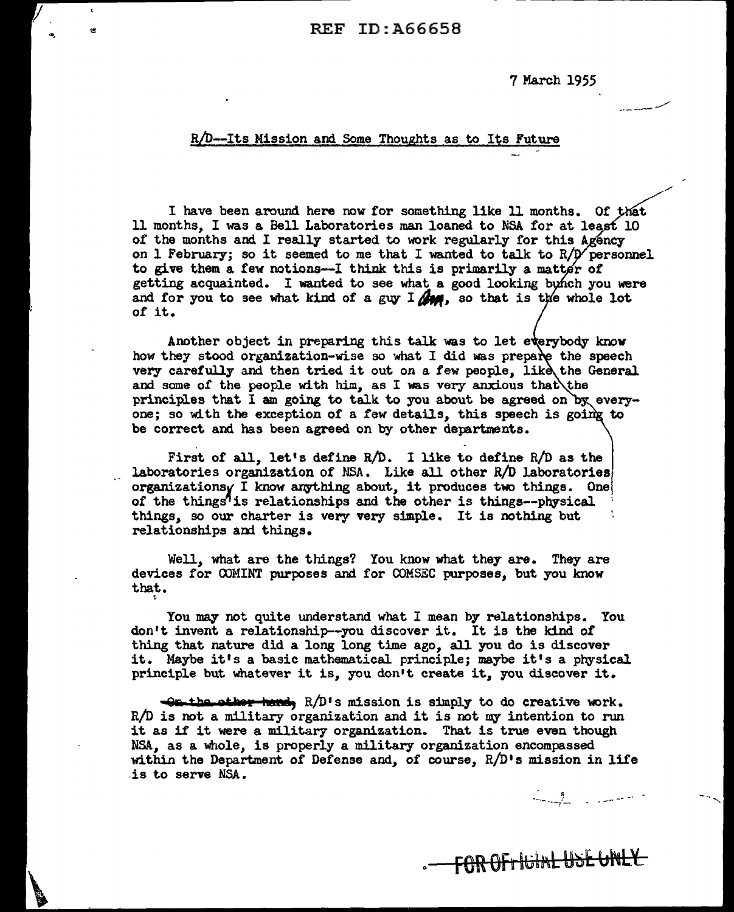7 March 1955

---- --,..,...,,-

//

## R/D--Its Mission and Some Thoughts as to Its Future

I have been around here now for something like 11 months. Of that 11 months, I was a. Bell Laboratories man loaned to NSA for at least 10 of the months and I really started to work regularly for this Agency on 1 February; so it seemed to me that I wanted to talk to  $R/D$  personnel to give them a few notions--I think this is primarily a matter of getting acquainted. I wanted to see what a good looking bunch you were and for you to see what kind of a guy I **for**, so that is the whole lot of it.

Another object in preparing this talk was to let everybody know how they stood organization-wise so what I did was prepare the speech very carefully and then tried it out on a few people, like the General and some of the people with him, as I was very anxious that the principles that I am going to talk to you about be agreed on by everyone; so with the exception of a few details, this speech is going to be correct and has been agreed on by other departments.

First of all, let's define R/D. I like to define R/D as the laboratories organization of NSA. Like all other  $R/D$  laboratories organizationsy I know anything about, it produces two things. One, of the things<sup>7</sup> is relationships and the other is things--physical things, so our charter is very very simple. It is nothing but relationships and things.

Well, what are the things? You know what they are. They are devices for OOMINT purposes and for COMSEC purposes, but you know that.

~

You may not quite understand what I mean by relationships. You don't invent a relationship--you discover it. It is the kind *ot*  thing that nature did a long long time ago, all you do is discover it. Maybe it's a basic mathematical. principle; maybe it's a physical principle but whatever it is, you don't create it., you discover it.

**Qa the other hand, R/D's mission is simply to do creative work.** R/D is not a military organization and it is not my intention to run it as it it were a military organization. That is true even though NSA, as a whole, is properly a military organization encompassed within the Department of Defense and, of course,  $R/D$ 's mission in life .is to serve NSA.

0

FOR OF HUIMLUSE UNLY

 $\sim$  ,  $\sim$  ,  $\sim$   $\sim$   $\sim$   $\sim$   $\sim$   $\sim$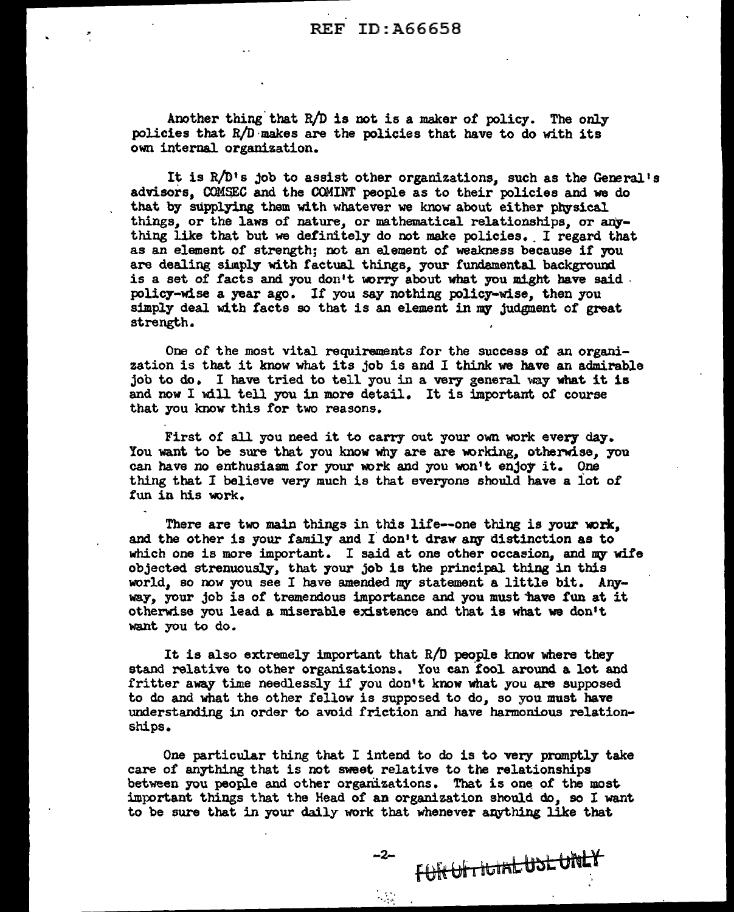Another thing that  $R/D$  is not is a maker of policy. The only policies that R/D ·makes are the policies that have to do with its own internal organization.

It is  $R/D's$  job to assist other organizations, such as the General's advisors. COMSEC and the COMINT people as to their policies and we do that by supplying them with whatever we know about either physical things, or the laws of nature, or mathematical relationships, or anything like that but we definitely do not make policies. I regard that as an element of strength; not an element of weakness because if you are dealing simply with factual things, your fundamental background is a set of facts and you don't worry about what you might have said . policy-wise a year ago. If you say nothing policy-wise, then you simply deal with facts so that is an element in my judgment of great strength.

One of the most vital requirements for the success of an organization is that it know what its job is and I think we have an admirable job to do. I have tried to tell you in a very general way what it is and now I will tell you in more detail. It is important of course that you know this for two reasons.

First of all you need it to carry out your own work every day. You want to be sure that you know why are are working, otherwise, you can have no enthusiasm for your work and you won't enjoy it. One thing that I believe very much is that everyone should have a lot of fun in his work.

There are two main things in this life--one thing is your work. and the other is your family and I don't draw any distinction as to which one is more important. I said at one other occasion, and my wife objected strenuously, that your job is the principal thing in this world, so now you see I have amended my statement a little bit. Anyway, your job is of tremendous importance and you must have fun at it otherwise you lead a miserable existence and that is what we don't want you to do.

It is also extremely important that R/D people know where they stand relative to other organizations. You can fool around a lot and fritter away time needlessly if you don't know what you are supposed to do and what the other fellow is supposed to do, so you must have understanding in order to avoid friction and have harmonious relationships.

One particular thing that I intend to do is to very promptly take care of anything that is not sweet relative to the relationships between you people and other organizations. That is one of the most important things that the Head of an organization should do, so I want to be sure that in your daily work that whenever anything like that

 $\mathcal{L}$ .

FURUFTICIALUSLUNLY -2-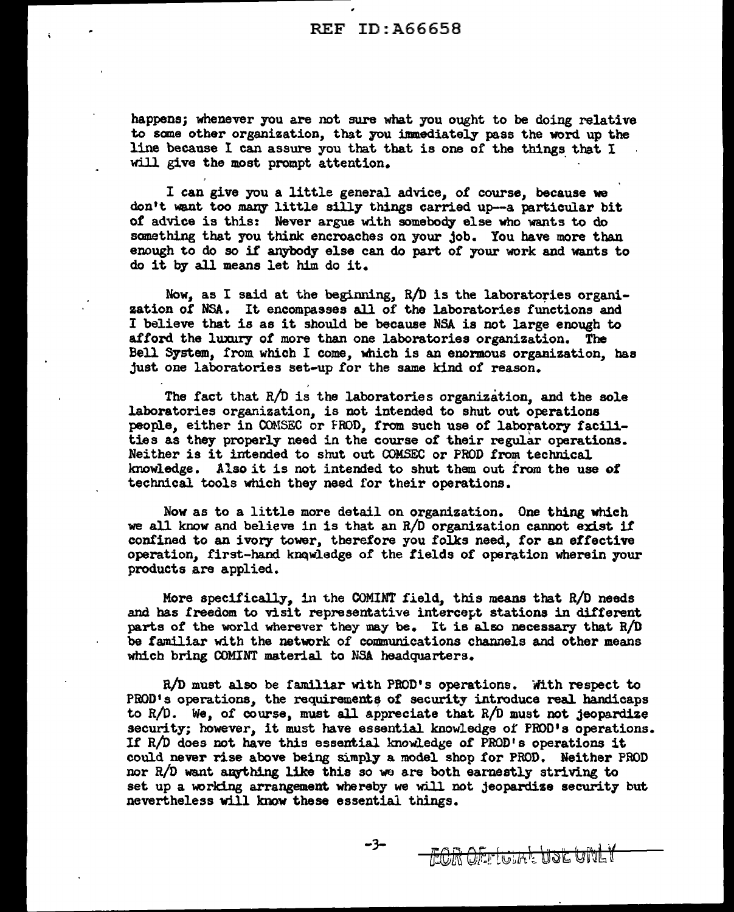happens; whenever you are not sure what you ought to be doing relative to sane other organization, that you immediately pass the word up the line because I can assure you that that is one of the things that I will give the most prompt attention.

I can give you a little general advice, of course, because we don't want too many little silly things carried up-a particular bit or advice is this: Never argue with somebody else who wants to do something that you think encroaches on your job. You have more than enough to do so if anybody else can do part of your work and wants to do it by all means let him do it.

Now, as I said at the beginning,  $R/D$  is the laboratories organization of NSA. It encompasses all of the laboratories functions and I believe that is as it should be because NSA is not large enough to afford the luxury of more than one laboratories organization. The Bell System, from which I come, which is an enormous organization, has just one laboratories set-up for the same kind of reason.

The fact that R/D is the laboratories organization, and the sole laboratories organization, is not intended to shut out operations people, either in COMSEC or FROD, from such use of laboratory facilities as they properly need in the course of their regular operations. Neither is it intended to shut out COMSEC or PROD from technical knowledge. Also it is not intended to shut them out from the use of technical tools which they need for their operations.

Nov as to a little more detail on organization. One thing which we all know and believe in is that an  $R/D$  organization cannot exist if confined to an ivory tower, therefore you folks need, for an effective operation, first-hand knowledge of the fields of operation wherein your products are applied.

More specifically, in the COMINT field, this means that  $R/D$  needs and has freedom to visit representative intercept stations in different parts of the world wherever they may be. It is also necessary that  $R/D$ be familiar with the network of communications channels and other means which bring COMINT material to NSA headquarters.

 $R/D$  must also be familiar with PROD's operations. With respect to PROD<sup>1</sup>s operations, the requirements of security introduce real handicaps to  $R/D$ . We, of course, must all appreciate that  $R/D$  must not jeopardize security; however, it must have essential knowledge of PROD's operations. If  $R/D$  does not have this essential knowledge of PROD's operations it could never rise above being simply a model shop for PROD. Neither PROD nor  $R/D$  want anything like this so we are both earnestly striving to set up a working arrangement whereby we will not jeopardize security but nevertheless will know these essential things.

-3-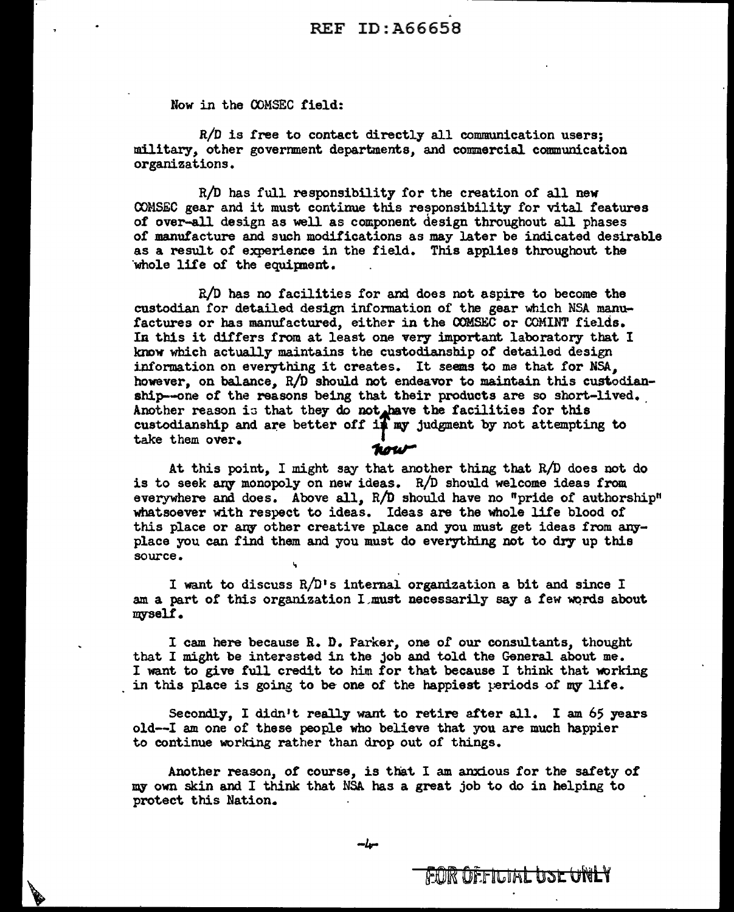Now in the COMSEC field:

R/D is tree to contact directly all communication users; military,, other government departments, and commercial communication organizations.

R/D has full responsibility for the creation of all new COMSEC gear and it must continue this responsibility for vital features of over-all design as well as component design throughout all phases of manufacture and such modifications as may later be indicated desirable as a result of experience in the field. This applies throughout the whole life of the equipment.

 $R/D$  has no facilities for and does not aspire to become the custodian for detailed design information of the gear which NSA manufactures or has manufactured, either in the COMSEC or COMINT fields. In this it differs from at least one very important laboratory that I knew which actually maintains the custodianship of detailed design information on everything it creates. It seems to me that for NSA. however, on balance, R/D should not endeavor to maintain this custodianship--one of the reasons being that their products are so short-lived. Another reason is that they do not have the facilities for this Another reason is that they do not have the inclinities for this<br>custodianship and are better off if my judgment by not attempting to<br>take them over.

At this point, I might say that another thing that R/D does not do is to seek any monopoly on new ideas.  $R/D$  should welcome ideas from. everywhere and does. Above all, R/D should have no "pride of authorship" whatsoever with respect to ideas. Ideas are the whole life blood of this place or any other creative place and you must get ideas from anyplace you can find them and you must do everything not to dry up this source.

I want to discuss  $R/D$ 's internal organization a bit and since I am a part of this organization I must necessarily say a few words about myself.

I cam here because R. D. Parker,, one *of* our consultants, thought that I might be interested in the job and told the General about me. I want to give full credit to him for that because I think that working in this place is going to be one of the happiest periods of my life.

Secondly, I didn't really want to retire after all. I am 65 years old--I am one of these people who believe that you are much happier to continue working rather than drop out of things.

Another reason, of course, is that I am anxious for the safety of my own skin and I think that NSA has a great job to do in helping to protect this Nation.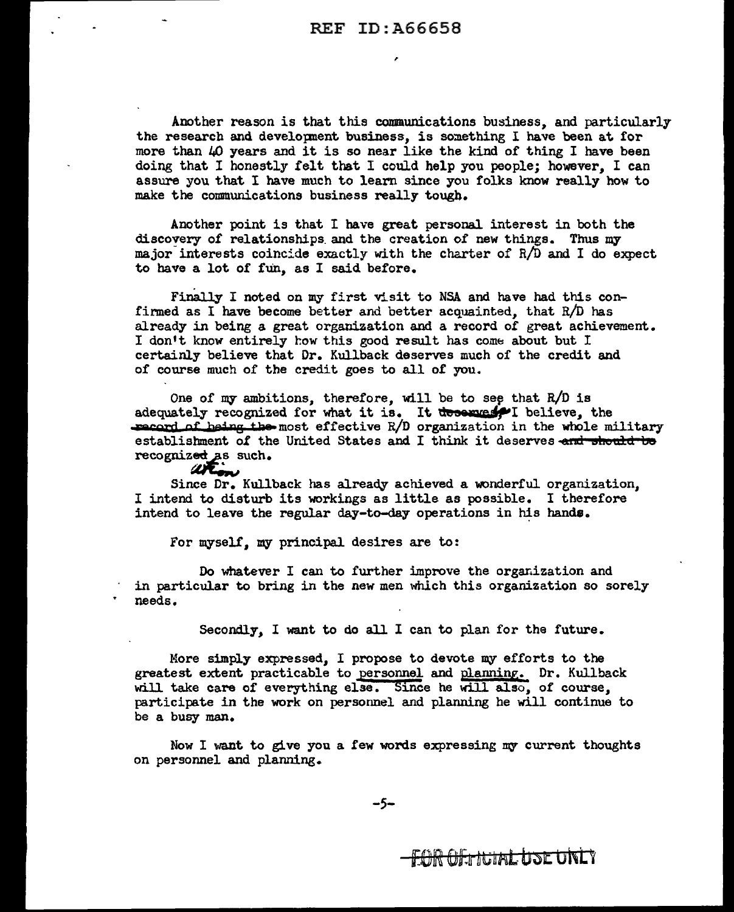,

Another reason is that this conmunications business, and particularly the research and development business, is something I have been at for more than 40 years and it is so near like the kind of thing I have been doing that I honestly felt that I could help you people; however, I can assure you that I have much to learn since you folks know really how to make the communications business really tougb.

Another point is that I have great personal interest in both the discovery of relationships\_ and the creation of new things. Thus my major interests coincide exactly with the charter of  $R/D$  and I do expect to have a lot of fun, as I said before.

Finally I noted on my first visit to NSA and have had this confirmed as I have become better and better acquainted, that R/D has already in being a great organization and a record *of* great achievement. I don't know entirely how this good result has come about but I certainly believe that Dr. Kullback deserves much of the credit and of course much of the credit goes to all of you.

One of my ambitions, therefore, will be to see that  $R/D$  is adequately recognized for what it is. It deserges I believe, the record of being the most effective R/D organization in the whole military establishment of the United States and I think it deserves and should be recognized as such.

نحو Since Dr. Kullback has already achieved a wonderful organization, I intend to disturb its workings as little as possible. I therefore intend to leave the regular day-to-day operations in his hands.

for myself, my principal desires are to:

Do whatever I can to further improve the organization and in particular to bring in the new men which this organization so sorely needs.

Secondly, I want to do all I can to plan for the future.

More simply expressed, I propose to devote my efforts to the greatest extent practicable to personnel and planning. Dr. Kullback will take care of everything else. Since he will also, of course, participate in the work on personnel and planning be will continue to be a busy man.

Now I want to give you a few words expressing my current thoughts on personnel and planning.

<del>TIR OErNJAL USE UNL</del>Y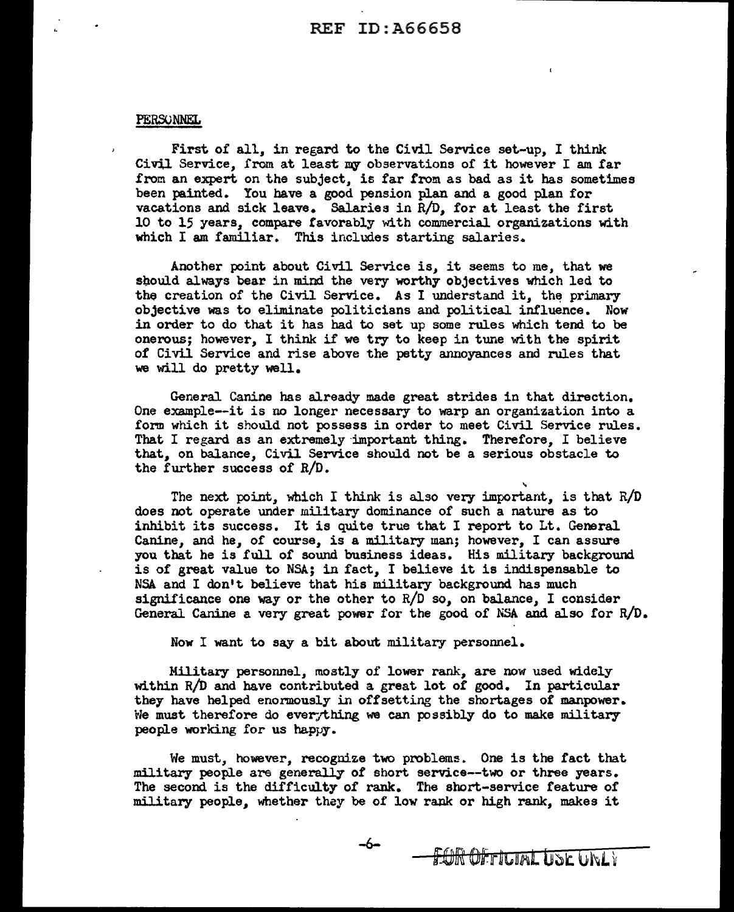#### PERSONNEL

First of all, in regard to the Civil Service set-up, I think Civil Service, from at least my observations of it however I am far from an expert on the subject, is far from as bad as it has sometimes been painted. You have a good pension plan and a good plan for vacations and sick leave. Salaries in R/D, for at least the first 10 to 15 years, compare favorably with commercial organizations with which I am familiar. This includes starting salaries.

Another point about Civil Service is, it seems to me, that we sbould always bear in mind the very worthy objectives which led to the creation of the Civil Service. As I understand it, the primary objective was to eliminate politicians and political influence. Now in order to do that it has had to set up some rules which tend to be onerous; however, I think if we try to keep in tune with the spirit of Civil Service and rise above the petty annoyances and rules that we will do pretty well.

General Canine has already made great strides in that direction. One example--it is no longer necessary to warp an organization into a form which it should not possess in order to meet Civil Service rules. That I regard as an extremely important thing. Therefore, I believe that, on balance, Civil Service should not be a serious obstacle to the further success of  $R/D$ .

The next point, which I think is also very important, is that  $R/D$ does not operate under military dominance of such a nature as to inhibit its success. It is quite true that I report to Lt. General Canine, and he, of course, is a military man; however, I can assure you that he is full of sound business ideas. His military background is of great value to NSA; in fact, I believe it is indispensable to NSA and I don't believe that his military background has much significance one way or the other to  $R/D$  so, on balance, I consider General Canine a very great power for the good of NSA and also for R/D.

Now I want to say a bit about military personnel.

Military personnel, mostly of lower rank, are now used widely within  $R/D$  and have contributed a great lot of good. In particular they have helped enormously in offsetting the shortages of manpower. We must therefore do everything we can possibly do to make military people working for us happy.

We must, however, recognize two problems. One is the fact that military people are generally of short service--two or three years. The second is the difficulty of rank. The short-service feature of military people, whether they be of low rank or high rank, makes it

-6-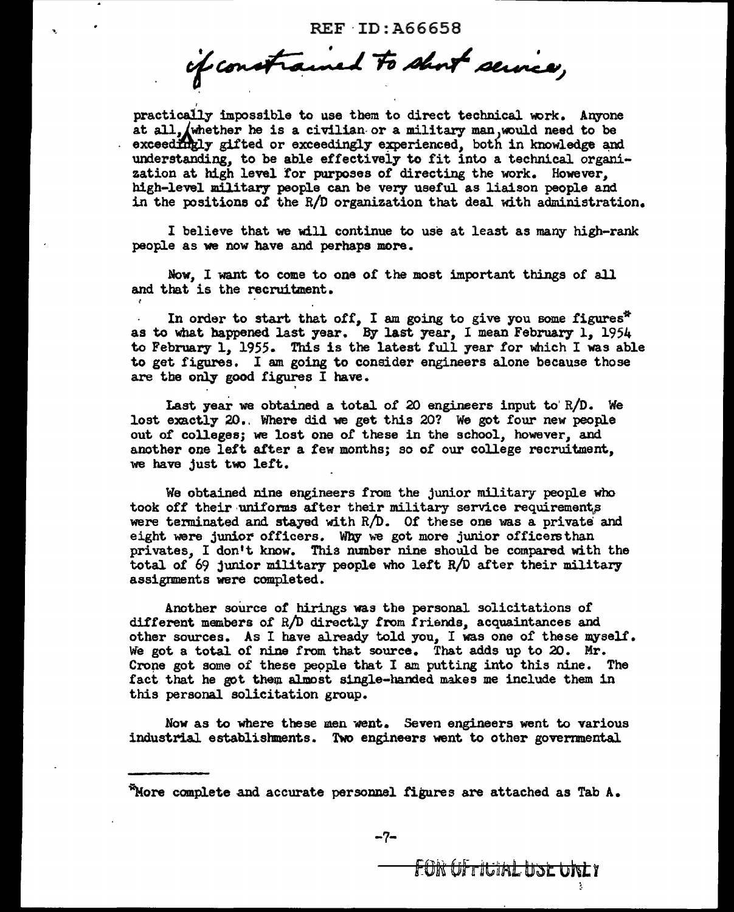if constrained to short service,

,

practically impossible to use them to direct technical work. Anyone at all, whether he is a civilian or a military man, would need to be exceedingly gifted or exceedingly experienced. both in knowledge and understanding, to be able effectively to fit into a technical organization at high level for purposes of directing the work. However, high-level military people can be very useful. as liaison people and in the positione *ol* the R/D organization that deal with administration.

I believe that we will continue to use at least as many high-rank people as we now have and perhaps more.

Now, I want to come to one of the most important things of all and that is the recruitment.

In order to start that off, I am going to give you some figures\* as to what happened last year. By last year, I mean February 1, 1954 to February l, 1955. This is the latest full year for which I was able to get figures. I am going to consider engineers alone because those are tbe only good figures I have.

Last year we obtained a total of 20 engineers input to  $R/D$ . We lost exactly 20. Where did we get this 20? We got four new people out of colleges; we lost one *of* these in the school, however, and another one left alter a few months; so of our college recruitment, we have just two left.

'

We obtained nine engineers from the junior military people who took off their uniforms after their military service requirements were terminated and stayed with R/D. Of these one was a private and eight were junior officers. Why we got more junior officers than privates, I don't know. This number nine should be compared with the total of 69 junior military people who left R/D after their military assignments were completed.

Another source of hirings was the personal solicitations of different members of  $R/D$  directly from friends, acquaintances and other sources. As I have already told you. I was one of these myself. We got a total of nine from that source. That adds up to 20. Mr. Crone got some of these people that I am putting into this nine. The fact that he got them almost single-handed makes me include them in this personal solicitation group.

Now as to where these men went. Seven engineers went to various industrial establishments. Two engineers went to other governmental

 $^{\circ}$ More complete and accurate personnel figures are attached as Tab A.

FOR OF TIGTAL USE UNLY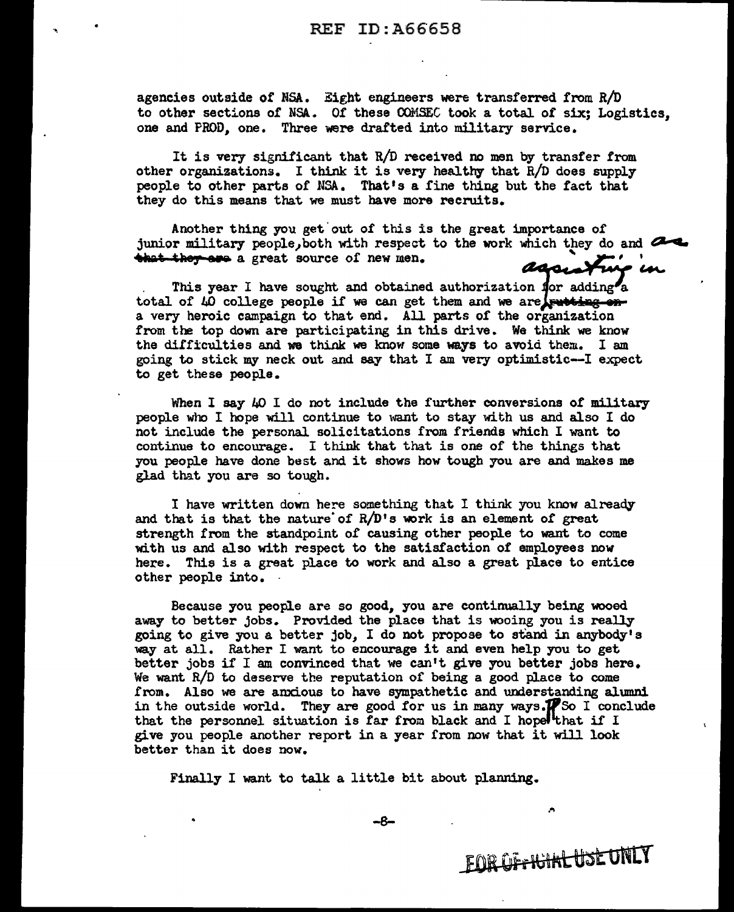agencies outside or NSA. Eight engineers were transferred from R/D to other sections of NSA. Of these COMSEC took a total of six; Logistics, one and PROD, one. Three were drafted into military service.

It is very significant that R/D received no men by transfer from other organizations. I think it is very healthy that  $R/D$  does supply people to other parts of NSA. That's a fine thing but the tact that they do this means that we must have more recruits.

Another thing you get out of this is the great importance of junior military people, both with respect to the work which they do and  $\mathbb{Z}$ **that they are** a great source of new men. assume that in assa X

This year I have sought and obtained authorization for adding<sup>2</sup>a total of  $\mu$  college people if we can get them and we are turned ona very heroic campaign to that end. All parts of the organization from the top down are participating in this drive. We think we know the difficulties and wa think we know some ways to avoid them.. I am going to stick my neck out and say that I am very optimistic-I expect to get these people.

When I say  $40$  I do not include the further conversions of military people who I hope will continue to want to stay with us and also I do not include the personal solicitations from friends which I want to continue to encourage. I think that that is one of the things that you people have done best and it shows how tough you are and makes me glad that you are so tough.

I have written down here something that I think you know already and that is that the nature of R/D's work is an element of great strength from the standpoint of causing other people to want to come with us and also with respect to the satisfaction of employees now here. This is a great place to work and also a great place to entice other people into.

Because you people are so good, you are continually being wooed away to better jobs. Provided the place that is wooing you is really going to give you a better job, I do not propose to stand in anybody's way at all. Rather I want to encourage it and even help you to get better jobs if I am convinced that we can't give you better jobs here. We want R/D to deserve the reputation of being a good place to come from. Also we are anxious to have sympathetic and understanding alumni in the outside world. They are good for us in many ways. $\mathcal{H}$  So I conclude that the personnel situation is far from black and I hopelthat if I give you people another report in a year £rom now that it will look better than it does now.

Finally I want to talk a little bit about planning.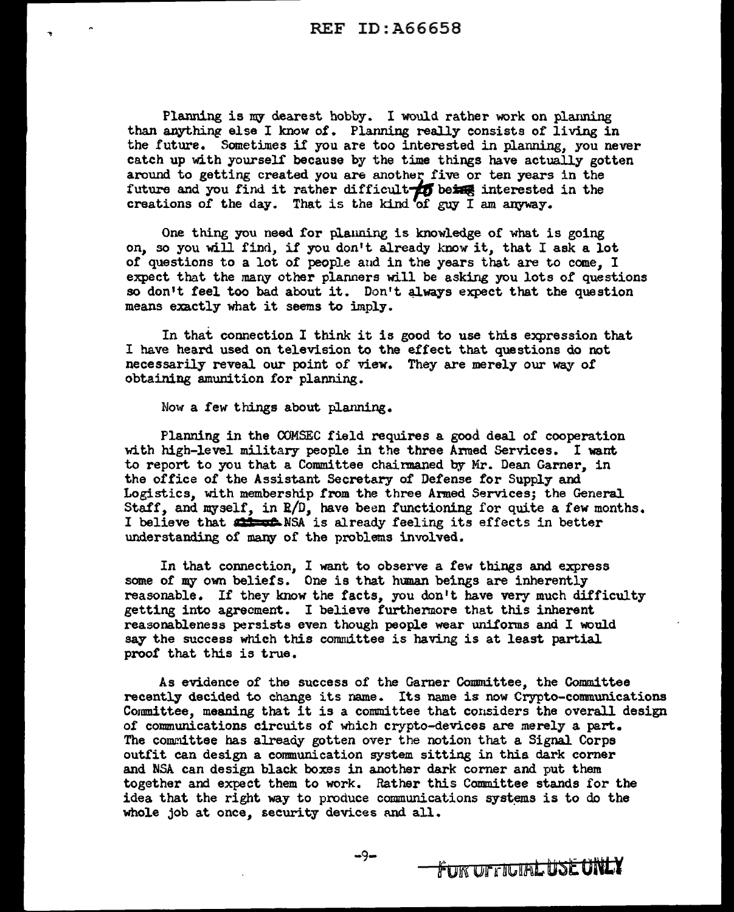Planning is my dearest hobby. I would rather work on planning than anything else I know of. Planning really consists of living in the future. Sometimes if you are too interested in planning, you never catch up with yourself because by the time things have actually gotten around to getting created you are another five or ten years in the future and you find it rather difficult  $\overline{10}$  being interested in the creations *of* the day. That is the kind of guy I am anyway.

One thing you need for planning is knowledge of what is going on, so you will find, if you don't already know it, that I ask a lot of questions to a lot of people and in the years that are to come. I expect that the many other planners will be asking you lots of questions so don't feel too bad about it. Don't always expect that the question means exactly what it seems to imply.

In that connection I think it is good to use this expression that I have heard used on television to the effect that questions do not necessarily reveal our point of view. They are merely our way of obtaining amunition for planning.

Now a few things about planning.

Planning in the OOMSEC field requires a good deal of cooperation with high-level military people in the three Armed Services. I want to report to you that a Committee chairmaned by Mr. Dean Garner, in the office of the Assistant Secretary of Defense for Supply and Logistics, with membership from the three Armed Services; the General Staff, and myself, in  $E/D$ , have been functioning for quite a few months. I believe that  $\frac{1}{\sqrt{2}}$  NSA is already feeling its effects in better understanding of many of the problems involved.

In that connection, I want to observe a few things and express some of my own beliefs. One is that human beings are inherently reasonable. If they know the facts, you don't have very much difficulty getting into agreement. I believe furthermore that this inherent reasonableness persists even though people wear uniforms and I would say the success which this committee is having is at least partial proof that this is true.

As evidence of the success of the Garner Committee, the Committee recently decided to change its name. Its name is now Crypto-communications Committee, meaning that it is a committee that considers the overall design of communications circuits of which crypto-devices are merely a part. The committee has already gotten over the notion that a Signal Corps outfit can design a cormnunication system sitting in thia dark corner and NSA can design black boxes in another dark corner and put them together and expect them to work. Rather this Committee stands for the idea that the right way to produce communications systems is to do the whole job at once, security devices and all.

FUR UFFILIAL USE UNLY

-9-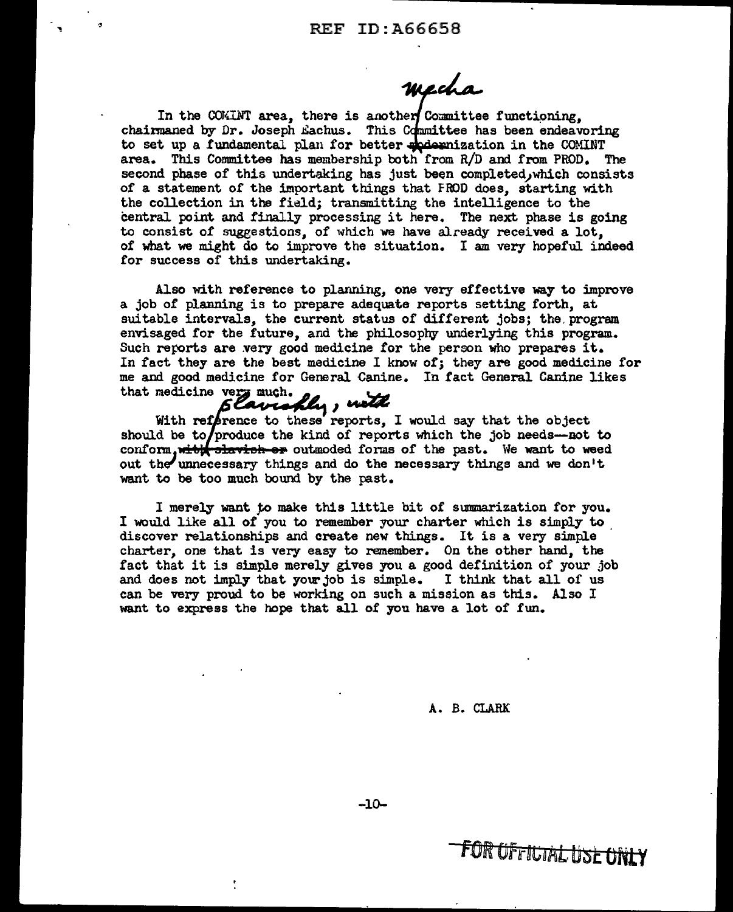mecha

In the COKINT area, there is another Committee functioning, chairmaned by Dr. Joseph Eachus. This Committee has been endeavoring to set up a fundamental plan for better specientization in the COMINT area. This Committee has membership both from R/D and from PROD. The second phase of this undertaking has just been completed, which consists of a statement of the important things that FROD does, starting with the collection in the field; transmitting the intelligence to the central point and finally processing it here. The next phase is going to consist of suggestions, of which we have already received a lot, of what we might do to improve the situation. I am very hopeful indeed for success of this undertaking.

Also with reference to planning, one very effective way to improve a job of planning is to prepare adequate reports setting forth, at suitable intervals, the current status of different jobs; the program envisaged for the future, and the philosophy underlying this program. Such reports are very good medicine for the person who prepares it. In fact they are the best medicine I know of; they are good medicine for me and good medicine for General. Canine. In fact General Canine likes that medicine very much. cine for General Canis<br>Eavenfly, nother

# much.<br>viaply, with

With reference to these reports, I would say that the object should be to/produce the kind of reports which the job needs--not to conform, with slavish or outmoded forms of the past. We want to weed out the unnecessary things and do the necessary things and we don't want to be too much bound by the past.

I merely want to make this little bit of summarization for you. I would like all of you to remember your charter which is simply to discover relationships and create new things. It is a very simple charter, one that is very easy to remember. On the other hand, the fact that it is simple merely gives you a good definition of your job and does not imply that your job is simple. I think that all of us can be very proud to be working on such a mission as this. Also I want to express the hope that all of you have a lot of fun.

#### A. B. CLARK

-10-

t

**FOR OF FILTIAL USE ONLY**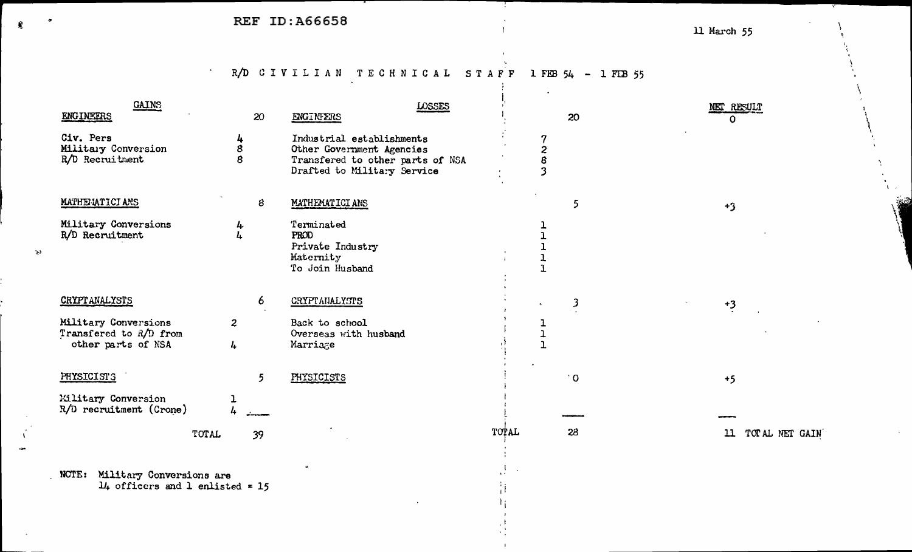$\Delta \sim$ 

R/D CIVILIAN TECHNICAL STAFF 1FEB 54 - 1FEB 55

 $\mathbf{r}$ 

| <b>GAINS</b><br><b>ENGINEERS</b>                                     |                                 | 20 | LOSSES<br>ENGINEERS                                                                                                       |              |             | 20        | NET RESULT        |
|----------------------------------------------------------------------|---------------------------------|----|---------------------------------------------------------------------------------------------------------------------------|--------------|-------------|-----------|-------------------|
| Civ. Pers<br>Military Conversion<br>R/D Recruitment                  | 4<br>8<br>8                     |    | Industrial establishments<br>Other Government Agencies<br>Transfered to other parts of NSA<br>Drafted to Military Service |              | 2<br>8<br>3 |           | O                 |
| MATHEMATICIANS                                                       |                                 | 8  | MATHEMATICIANS                                                                                                            |              |             | 5         | $+3$              |
| Military Conversions<br>R/D Recruitment                              | 4<br>4                          |    | Terminated<br>PROD<br>Private Industry<br>Maternity<br>To Join Husband                                                    |              |             |           |                   |
| <b>CRYPT ANALYSTS</b>                                                |                                 | 6  | CRYPTANALYSTS                                                                                                             |              |             | 3         | $+3$              |
| Military Conversions<br>Transfered to R/D from<br>other parts of NSA | $\overline{z}$<br>$\frac{1}{4}$ |    | Back to school<br>Overseas with husband<br>Marriage                                                                       |              |             |           |                   |
| PHYSICISTS                                                           |                                 | 5  | PHYSICISTS                                                                                                                |              |             | $\dot{O}$ | $+5$              |
| Military Conversion<br>R/D recruitment (Crone)                       |                                 |    |                                                                                                                           |              |             |           |                   |
|                                                                      | TOTAL                           | 39 |                                                                                                                           | <b>TOPAL</b> |             | 28        | 11 TOTAL NET GAIN |
|                                                                      |                                 |    |                                                                                                                           |              |             |           |                   |

 $\mathcal{F}$ 

Ħ

NCTE: Military Conversions are<br> $14$  officers and 1 enlisted = 15

 $\mathbb{R}^3$